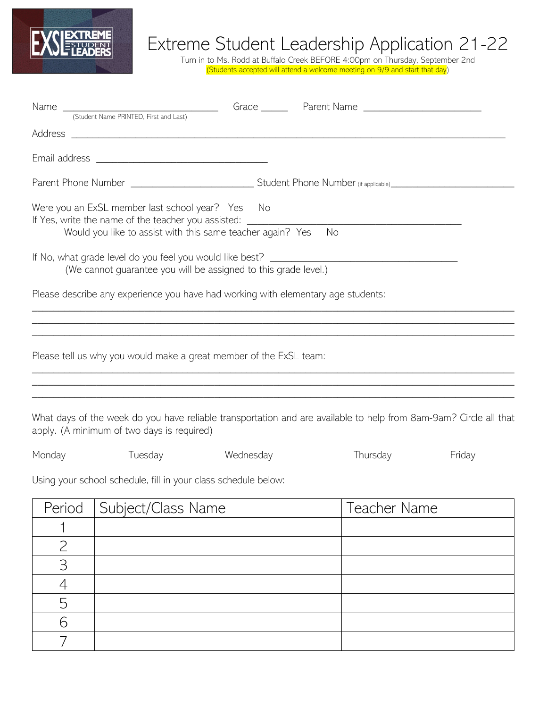

## Extreme Student Leadership Application 21-22

Turn in to Ms. Rodd at Buffalo Creek BEFORE 4:00pm on Thursday, September 2nd (Students accepted will attend a welcome meeting on 9/9 and start that day)

|                | Name (Student Name PRINTED, First and Last)                                                                                                                                                        |           | Grade Parent Name                                                                                                 |        |
|----------------|----------------------------------------------------------------------------------------------------------------------------------------------------------------------------------------------------|-----------|-------------------------------------------------------------------------------------------------------------------|--------|
|                |                                                                                                                                                                                                    |           |                                                                                                                   |        |
|                |                                                                                                                                                                                                    |           |                                                                                                                   |        |
|                |                                                                                                                                                                                                    |           |                                                                                                                   |        |
|                | Were you an ExSL member last school year? Yes No<br>If Yes, write the name of the teacher you assisted: ____________________________<br>Would you like to assist with this same teacher again? Yes |           | No                                                                                                                |        |
|                | If No, what grade level do you feel you would like best?<br>(We cannot guarantee you will be assigned to this grade level.)                                                                        |           |                                                                                                                   |        |
|                | Please describe any experience you have had working with elementary age students:                                                                                                                  |           |                                                                                                                   |        |
|                | Please tell us why you would make a great member of the ExSL team:                                                                                                                                 |           |                                                                                                                   |        |
|                | apply. (A minimum of two days is required)                                                                                                                                                         |           | What days of the week do you have reliable transportation and are available to help from 8am-9am? Circle all that |        |
| Monday         | Tuesday                                                                                                                                                                                            | Wednesday | Thursday                                                                                                          | Friday |
|                | Using your school schedule, fill in your class schedule below:                                                                                                                                     |           |                                                                                                                   |        |
| Period         | Subject/Class Name                                                                                                                                                                                 |           | Teacher Name                                                                                                      |        |
|                |                                                                                                                                                                                                    |           |                                                                                                                   |        |
| $\overline{2}$ |                                                                                                                                                                                                    |           |                                                                                                                   |        |
| 3              |                                                                                                                                                                                                    |           |                                                                                                                   |        |
| 4              |                                                                                                                                                                                                    |           |                                                                                                                   |        |
| 5              |                                                                                                                                                                                                    |           |                                                                                                                   |        |
| 6              |                                                                                                                                                                                                    |           |                                                                                                                   |        |
|                |                                                                                                                                                                                                    |           |                                                                                                                   |        |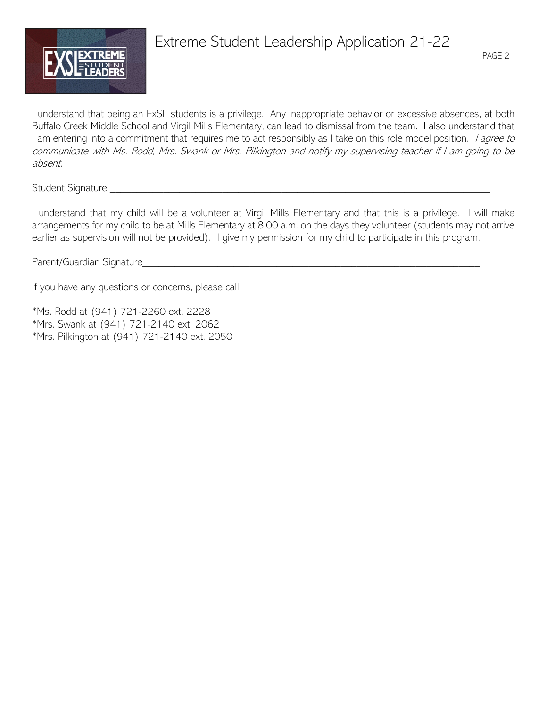

# Extreme Student Leadership Application 21-22

I understand that being an ExSL students is a privilege. Any inappropriate behavior or excessive absences, at both Buffalo Creek Middle School and Virgil Mills Elementary, can lead to dismissal from the team. I also understand that I am entering into a commitment that requires me to act responsibly as I take on this role model position. *I agree to* communicate with Ms. Rodd, Mrs. Swank or Mrs. Pilkington and notify my supervising teacher if I am going to be absent.

Student Signature \_\_\_\_\_\_\_\_\_\_\_\_\_\_\_\_\_\_\_\_\_\_\_\_\_\_\_\_\_\_\_\_\_\_\_\_\_\_\_\_\_\_\_\_\_\_\_\_\_\_\_\_\_\_\_\_\_\_\_\_\_\_\_\_\_\_\_\_\_\_\_

I understand that my child will be a volunteer at Virgil Mills Elementary and that this is a privilege. I will make arrangements for my child to be at Mills Elementary at 8:00 a.m. on the days they volunteer (students may not arrive earlier as supervision will not be provided). I give my permission for my child to participate in this program.

Parent/Guardian Signature\_\_\_\_\_\_\_\_\_\_\_\_\_\_\_\_\_\_\_\_\_\_\_\_\_\_\_\_\_\_\_\_\_\_\_\_\_\_\_\_\_\_\_\_\_\_\_\_\_\_\_\_\_\_\_\_\_\_\_\_\_\_\_

If you have any questions or concerns, please call:

\*Ms. Rodd at (941) 721-2260 ext. 2228 \*Mrs. Swank at (941) 721-2140 ext. 2062 \*Mrs. Pilkington at (941) 721-2140 ext. 2050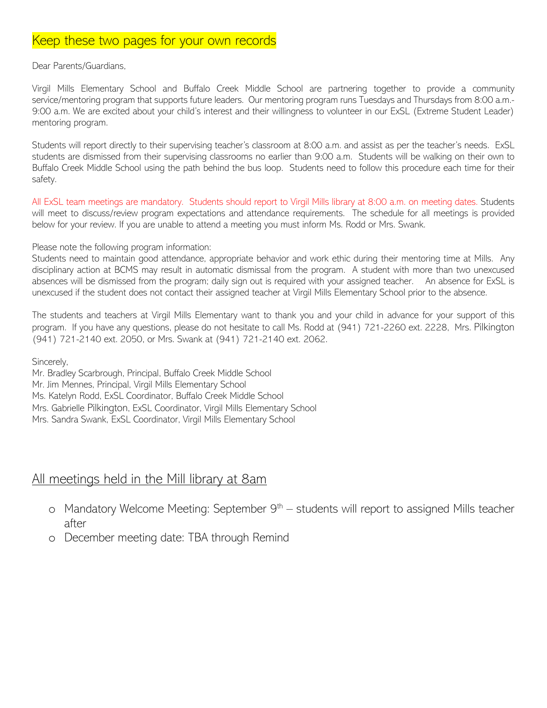## Keep these two pages for your own records

#### Dear Parents/Guardians,

Virgil Mills Elementary School and Buffalo Creek Middle School are partnering together to provide a community service/mentoring program that supports future leaders. Our mentoring program runs Tuesdays and Thursdays from 8:00 a.m.- 9:00 a.m. We are excited about your child's interest and their willingness to volunteer in our ExSL (Extreme Student Leader) mentoring program.

Students will report directly to their supervising teacher's classroom at 8:00 a.m. and assist as per the teacher's needs. ExSL students are dismissed from their supervising classrooms no earlier than 9:00 a.m. Students will be walking on their own to Buffalo Creek Middle School using the path behind the bus loop. Students need to follow this procedure each time for their safety.

All ExSL team meetings are mandatory. Students should report to Virgil Mills library at 8:00 a.m. on meeting dates. Students will meet to discuss/review program expectations and attendance requirements. The schedule for all meetings is provided below for your review. If you are unable to attend a meeting you must inform Ms. Rodd or Mrs. Swank.

#### Please note the following program information:

Students need to maintain good attendance, appropriate behavior and work ethic during their mentoring time at Mills. Any disciplinary action at BCMS may result in automatic dismissal from the program. A student with more than two unexcused absences will be dismissed from the program; daily sign out is required with your assigned teacher. An absence for ExSL is unexcused if the student does not contact their assigned teacher at Virgil Mills Elementary School prior to the absence.

The students and teachers at Virgil Mills Elementary want to thank you and your child in advance for your support of this program. If you have any questions, please do not hesitate to call Ms. Rodd at (941) 721-2260 ext. 2228, Mrs. Pilkington (941) 721-2140 ext. 2050, or Mrs. Swank at (941) 721-2140 ext. 2062.

Sincerely,

Mr. Bradley Scarbrough, Principal, Buffalo Creek Middle School Mr. Jim Mennes, Principal, Virgil Mills Elementary School Ms. Katelyn Rodd, ExSL Coordinator, Buffalo Creek Middle School Mrs. Gabrielle Pilkington, ExSL Coordinator, Virgil Mills Elementary School Mrs. Sandra Swank, ExSL Coordinator, Virgil Mills Elementary School

#### All meetings held in the Mill library at 8am

- o Mandatory Welcome Meeting: September  $9<sup>th</sup>$  students will report to assigned Mills teacher after
- o December meeting date: TBA through Remind